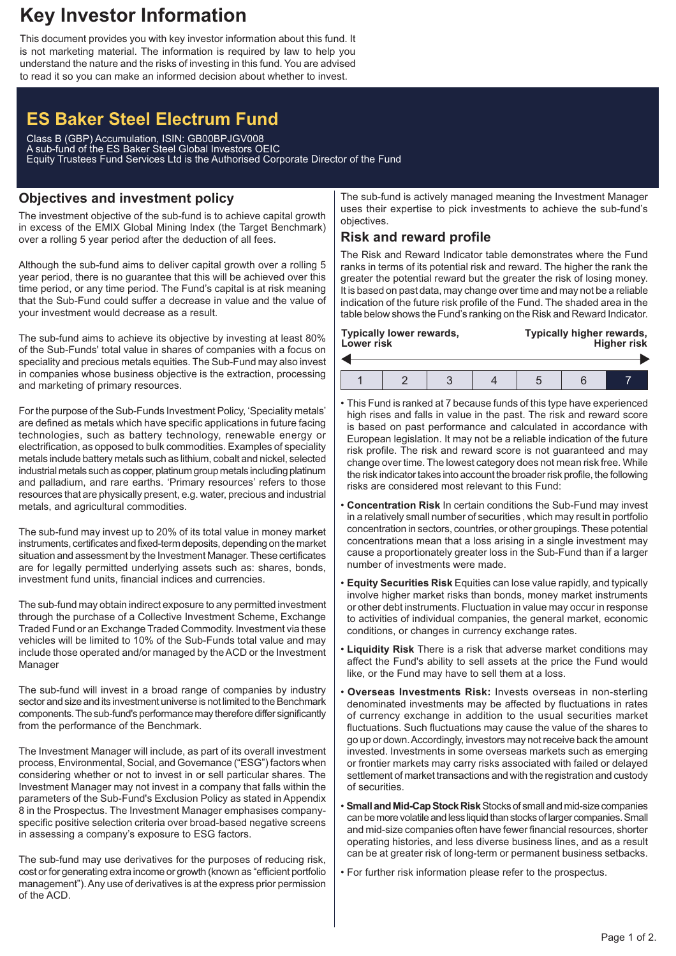## **Key Investor Information**

This document provides you with key investor information about this fund. It is not marketing material. The information is required by law to help you understand the nature and the risks of investing in this fund. You are advised to read it so you can make an informed decision about whether to invest.

# **ES Baker Steel Electrum Fund**

Class B (GBP) Accumulation, ISIN: GB00BPJGV008 A sub-fund of the ES Baker Steel Global Investors OEIC Equity Trustees Fund Services Ltd is the Authorised Corporate Director of the Fund

## **Objectives and investment policy**

The investment objective of the sub-fund is to achieve capital growth in excess of the EMIX Global Mining Index (the Target Benchmark) over a rolling 5 year period after the deduction of all fees.

Although the sub-fund aims to deliver capital growth over a rolling 5 year period, there is no guarantee that this will be achieved over this time period, or any time period. The Fund's capital is at risk meaning that the Sub-Fund could suffer a decrease in value and the value of your investment would decrease as a result.

The sub-fund aims to achieve its objective by investing at least 80% of the Sub-Funds' total value in shares of companies with a focus on speciality and precious metals equities. The Sub-Fund may also invest in companies whose business objective is the extraction, processing and marketing of primary resources.

For the purpose of the Sub-Funds Investment Policy, 'Speciality metals' are defined as metals which have specific applications in future facing technologies, such as battery technology, renewable energy or electrification, as opposed to bulk commodities. Examples of speciality metals include battery metals such as lithium, cobalt and nickel, selected industrial metals such as copper, platinum group metals including platinum and palladium, and rare earths. 'Primary resources' refers to those resources that are physically present, e.g. water, precious and industrial metals, and agricultural commodities.

The sub-fund may invest up to 20% of its total value in money market instruments, certificates and fixed-term deposits, depending on the market situation and assessment by the Investment Manager. These certificates are for legally permitted underlying assets such as: shares, bonds, investment fund units, financial indices and currencies.

The sub-fund may obtain indirect exposure to any permitted investment through the purchase of a Collective Investment Scheme, Exchange Traded Fund or an Exchange Traded Commodity. Investment via these vehicles will be limited to 10% of the Sub-Funds total value and may include those operated and/or managed by the ACD or the Investment Manager

The sub-fund will invest in a broad range of companies by industry sector and size and its investment universe is not limited to the Benchmark components. The sub-fund's performance may therefore differ significantly from the performance of the Benchmark.

The Investment Manager will include, as part of its overall investment process, Environmental, Social, and Governance ("ESG") factors when considering whether or not to invest in or sell particular shares. The Investment Manager may not invest in a company that falls within the parameters of the Sub-Fund's Exclusion Policy as stated in Appendix 8 in the Prospectus. The Investment Manager emphasises companyspecific positive selection criteria over broad-based negative screens in assessing a company's exposure to ESG factors.

The sub-fund may use derivatives for the purposes of reducing risk, cost or for generating extra income or growth (known as "efficient portfolio management").Any use of derivatives is at the express prior permission of the ACD.

The sub-fund is actively managed meaning the Investment Manager uses their expertise to pick investments to achieve the sub-fund's objectives.

## **Risk and reward profile**

The Risk and Reward Indicator table demonstrates where the Fund ranks in terms of its potential risk and reward. The higher the rank the greater the potential reward but the greater the risk of losing money. It is based on past data, may change over time and may not be a reliable indication of the future risk profile of the Fund. The shaded area in the table below shows the Fund's ranking on the Risk and Reward Indicator.

| Lower risk | Typically lower rewards, |  | Typically higher rewards,<br><b>Higher risk</b> |  |  |
|------------|--------------------------|--|-------------------------------------------------|--|--|
|            |                          |  |                                                 |  |  |
|            |                          |  |                                                 |  |  |

- This Fund is ranked at 7 because funds of this type have experienced high rises and falls in value in the past. The risk and reward score is based on past performance and calculated in accordance with European legislation. It may not be a reliable indication of the future risk profile. The risk and reward score is not guaranteed and may change over time. The lowest category does not mean risk free. While the risk indicator takes into account the broader risk profile, the following risks are considered most relevant to this Fund:
- **Concentration Risk** In certain conditions the Sub-Fund may invest in a relatively small number of securities , which may result in portfolio concentration in sectors, countries, or other groupings. These potential concentrations mean that a loss arising in a single investment may cause a proportionately greater loss in the Sub-Fund than if a larger number of investments were made.
- **Equity Securities Risk** Equities can lose value rapidly, and typically involve higher market risks than bonds, money market instruments or other debt instruments. Fluctuation in value may occur in response to activities of individual companies, the general market, economic conditions, or changes in currency exchange rates.
- **Liquidity Risk** There is a risk that adverse market conditions may affect the Fund's ability to sell assets at the price the Fund would like, or the Fund may have to sell them at a loss.
- **Overseas Investments Risk:** Invests overseas in non-sterling denominated investments may be affected by fluctuations in rates of currency exchange in addition to the usual securities market fluctuations. Such fluctuations may cause the value of the shares to go up or down.Accordingly, investors may not receive back the amount invested. Investments in some overseas markets such as emerging or frontier markets may carry risks associated with failed or delayed settlement of market transactions and with the registration and custody of securities.
- **Small and Mid-Cap Stock Risk** Stocks of small and mid-size companies can be more volatile and less liquid than stocks of larger companies. Small and mid-size companies often have fewer financial resources, shorter operating histories, and less diverse business lines, and as a result can be at greater risk of long-term or permanent business setbacks.
- For further risk information please refer to the prospectus.